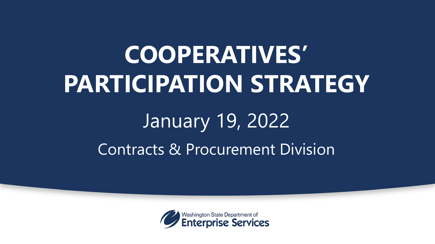# **COOPERATIVES' PARTICIPATION STRATEGY**

# January 19, 2022 Contracts & Procurement Division

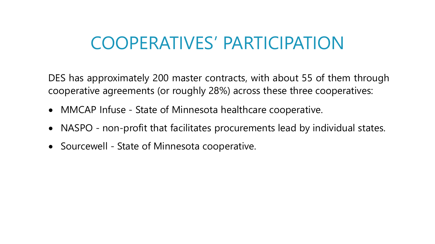#### COOPERATIVES' PARTICIPATION

DES has approximately 200 master contracts, with about 55 of them through cooperative agreements (or roughly 28%) across these three cooperatives:

- MMCAP Infuse State of Minnesota healthcare cooperative.
- NASPO non-profit that facilitates procurements lead by individual states.
- Sourcewell State of Minnesota cooperative.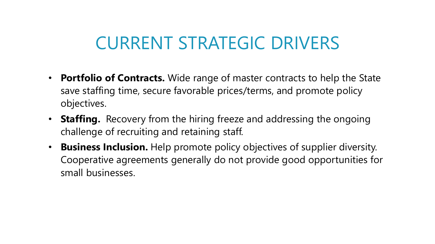## CURRENT STRATEGIC DRIVERS

- **Portfolio of Contracts.** Wide range of master contracts to help the State save staffing time, secure favorable prices/terms, and promote policy objectives.
- **Staffing.** Recovery from the hiring freeze and addressing the ongoing challenge of recruiting and retaining staff.
- **Business Inclusion.** Help promote policy objectives of supplier diversity. Cooperative agreements generally do not provide good opportunities for small businesses.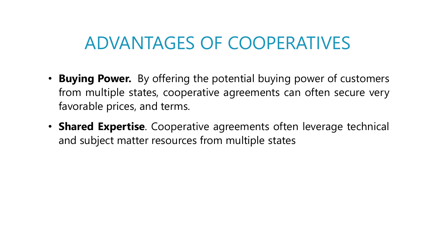#### ADVANTAGES OF COOPERATIVES

- **Buying Power.** By offering the potential buying power of customers from multiple states, cooperative agreements can often secure very favorable prices, and terms.
- **Shared Expertise**. Cooperative agreements often leverage technical and subject matter resources from multiple states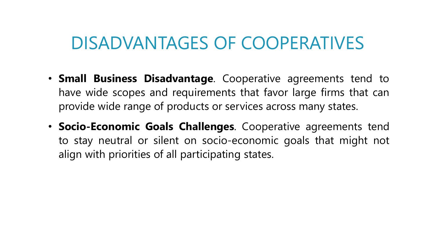#### DISADVANTAGES OF COOPERATIVES

- **Small Business Disadvantage**. Cooperative agreements tend to have wide scopes and requirements that favor large firms that can provide wide range of products or services across many states.
- **Socio-Economic Goals Challenges**. Cooperative agreements tend to stay neutral or silent on socio-economic goals that might not align with priorities of all participating states.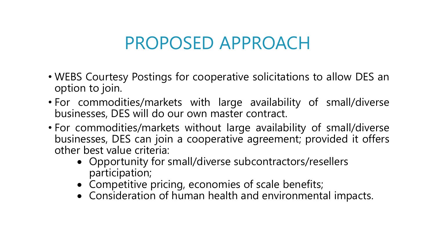## PROPOSED APPROACH

- WEBS Courtesy Postings for cooperative solicitations to allow DES an option to join.
- For commodities/markets with large availability of small/diverse businesses, DES will do our own master contract.
- For commodities/markets without large availability of small/diverse businesses, DES can join a cooperative agreement; provided it offers other best value criteria:
	- Opportunity for small/diverse subcontractors/resellers participation;
	- Competitive pricing, economies of scale benefits;
	- Consideration of human health and environmental impacts.